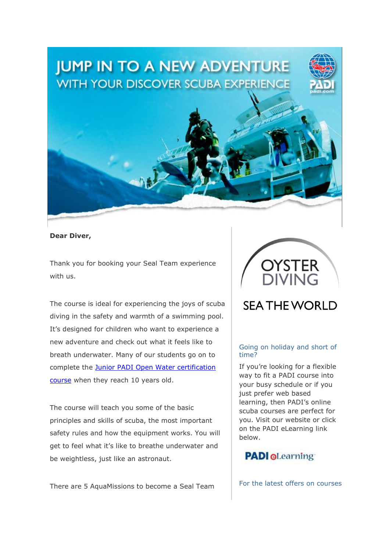# **JUMP IN TO A NEW ADVENTURE WITH YOUR DISCOVER SCUBA EXPERIENCE**



#### **Dear Diver,**

Thank you for booking your Seal Team experience with us.

The course is ideal for experiencing the joys of scuba diving in the safety and warmth of a swimming pool. It's designed for children who want to experience a new adventure and check out what it feels like to breath underwater. Many of our students go on to complete the Junior PADI Open Water [certification](https://www.oysterdiving.com/padi-open-water/) [course](https://www.oysterdiving.com/padi-open-water/) when they reach 10 years old.

The course will teach you some of the basic principles and skills of scuba, the most important safety rules and how the equipment works. You will get to feel what it's like to breathe underwater and be weightless, just like an astronaut.

There are 5 AquaMissions to become a Seal Team



## **SEA THE WORLD**

#### Going on holiday and short of time?

If you're looking for a flexible way to fit a PADI course into your busy schedule or if you just prefer web based learning, then PADI's online scuba courses are perfect for you. Visit our website or click on the PADI eLearning link below.



For the latest offers on courses